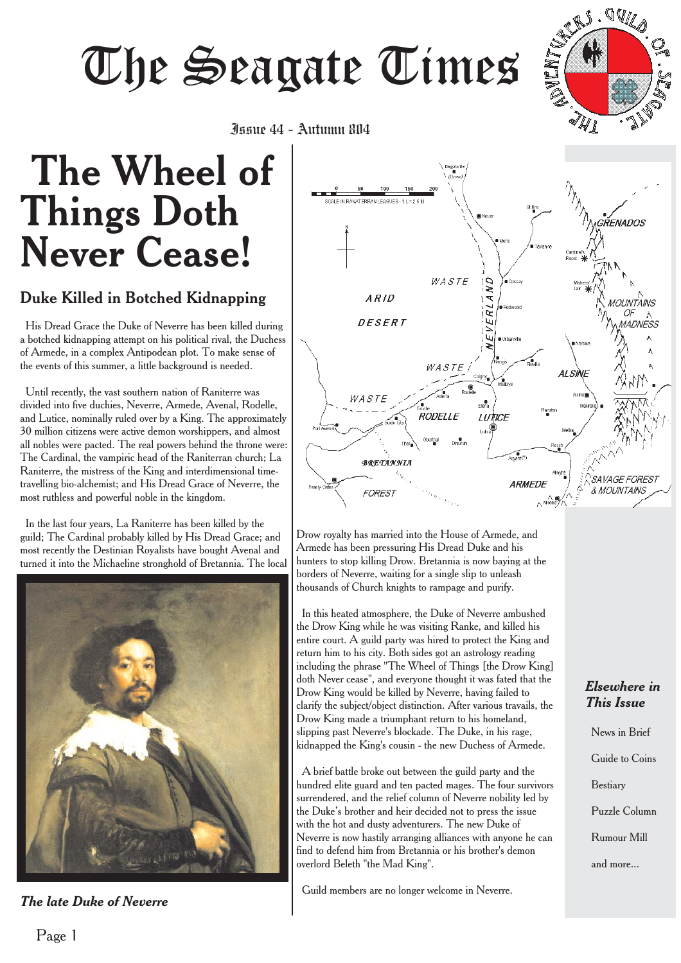# Juur 44 - Aufumn 804

**AVID** 

# **The Wheel of Things Doth Never Cease!** Issue 44 - Autumn 804

# Duke Killed in Botched Kidnapping

His Dread Grace the Duke of Neverre has been killed during a botched kidnapping attempt on his political rival, the Duchess of Armede, in a complex Antipodean plot. To make sense of the events of this summer, a little background is needed.

Until recently, the vast southern nation of Raniterre was divided into five duchies, Neverre, Armede, Avenal, Rodelle, and Lutice, nominally ruled over by a King. The approximately 30 million citizens were active demon worshippers, and almost all nobles were pacted. The real powers behind the throne were: The Cardinal, the vampiric head of the Raniterran church; La Raniterre, the mistress of the King and interdimensional timetravelling bio-alchemist; and His Dread Grace of Neverre, the most ruthless and powerful noble in the kingdom.

In the last four years, La Raniterre has been killed by the guild; The Cardinal probably killed by His Dread Grace; and most recently the Destinian Royalists have bought Avenal and turned it into the Michaeline stronghold of Bretannia. The local



*The late Duke of Neverre*



Drow royalty has married into the House of Armede, and Armede has been pressuring His Dread Duke and his hunters to stop killing Drow. Bretannia is now baying at the borders of Neverre, waiting for a single slip to unleash thousands of Church knights to rampage and purify.

In this heated atmosphere, the Duke of Neverre ambushed the Drow King while he was visiting Ranke, and killed his entire court. A guild party was hired to protect the King and return him to his city. Both sides got an astrology reading including the phrase "The Wheel of Things [the Drow King] doth Never cease", and everyone thought it was fated that the Drow King would be killed by Neverre, having failed to clarify the subject/object distinction. After various travails, the Drow King made a triumphant return to his homeland, slipping past Neverre's blockade. The Duke, in his rage, kidnapped the King's cousin - the new Duchess of Armede.

A brief battle broke out between the guild party and the hundred elite guard and ten pacted mages. The four survivors surrendered, and the relief column of Neverre nobility led by the Duke's brother and heir decided not to press the issue with the hot and dusty adventurers. The new Duke of Neverre is now hastily arranging alliances with anyone he can find to defend him from Bretannia or his brother's demon overlord Beleth "the Mad King".

Guild members are no longer welcome in Neverre.

#### *Elsewhere in This Issue*

News in Brief Guide to Coins Bestiary Puzzle Column Rumour Mill and more...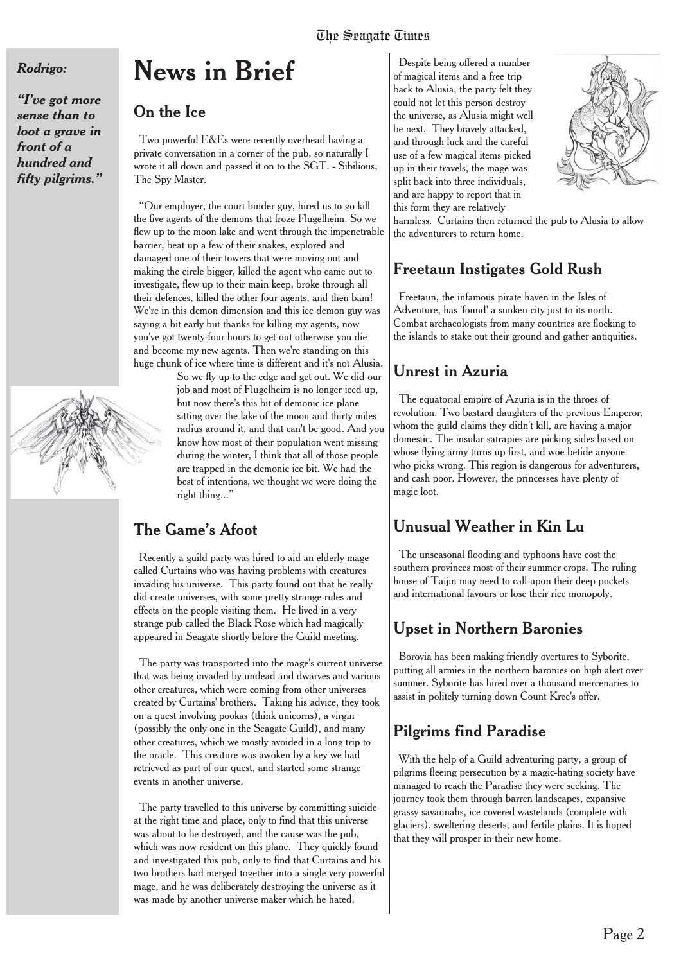#### *Rodrigo:*

*"I've got more sense than to loot a grave in front of a hundred and fifty pilgrims."*

# **News in Brief**

## On the Ice

Two powerful E&Es were recently overhead having a private conversation in a corner of the pub, so naturally I wrote it all down and passed it on to the SGT. - Sibilious, The Spy Master.

"Our employer, the court binder guy, hired us to go kill the five agents of the demons that froze Flugelheim. So we flew up to the moon lake and went through the impenetrable barrier, beat up a few of their snakes, explored and damaged one of their towers that were moving out and making the circle bigger, killed the agent who came out to investigate, flew up to their main keep, broke through all their defences, killed the other four agents, and then bam! We're in this demon dimension and this ice demon guy was saying a bit early but thanks for killing my agents, now you've got twenty-four hours to get out otherwise you die and become my new agents. Then we're standing on this huge chunk of ice where time is different and it's not Alusia.

So we fly up to the edge and get out. We did our job and most of Flugelheim is no longer iced up, but now there's this bit of demonic ice plane sitting over the lake of the moon and thirty miles radius around it, and that can't be good. And you know how most of their population went missing during the winter, I think that all of those people are trapped in the demonic ice bit. We had the best of intentions, we thought we were doing the right thing..."

# The Game's Afoot

Recently a guild party was hired to aid an elderly mage called Curtains who was having problems with creatures invading his universe. This party found out that he really did create universes, with some pretty strange rules and effects on the people visiting them. He lived in a very strange pub called the Black Rose which had magically appeared in Seagate shortly before the Guild meeting.

The party was transported into the mage's current universe that was being invaded by undead and dwarves and various other creatures, which were coming from other universes created by Curtains' brothers. Taking his advice, they took on a quest involving pookas (think unicorns), a virgin (possibly the only one in the Seagate Guild), and many other creatures, which we mostly avoided in a long trip to the oracle. This creature was awoken by a key we had retrieved as part of our quest, and started some strange events in another universe.

The party travelled to this universe by committing suicide at the right time and place, only to find that this universe was about to be destroyed, and the cause was the pub, which was now resident on this plane. They quickly found and investigated this pub, only to find that Curtains and his two brothers had merged together into a single very powerful mage, and he was deliberately destroying the universe as it was made by another universe maker which he hated.

Despite being offered a number of magical items and a free trip back to Alusia, the party felt they could not let this person destroy the universe, as Alusia might well be next. They bravely attacked, and through luck and the careful use of a few magical items picked up in their travels, the mage was split back into three individuals, and are happy to report that in this form they are relatively



harmless. Curtains then returned the pub to Alusia to allow the adventurers to return home.

# Freetaun Instigates Gold Rush

Freetaun, the infamous pirate haven in the Isles of Adventure, has 'found' a sunken city just to its north. Combat archaeologists from many countries are flocking to the islands to stake out their ground and gather antiquities.

# Unrest in Azuria

The equatorial empire of Azuria is in the throes of revolution. Two bastard daughters of the previous Emperor, whom the guild claims they didn't kill, are having a major domestic. The insular satrapies are picking sides based on whose flying army turns up first, and woe-betide anyone who picks wrong. This region is dangerous for adventurers, and cash poor. However, the princesses have plenty of magic loot.

# Unusual Weather in Kin Lu

The unseasonal flooding and typhoons have cost the southern provinces most of their summer crops. The ruling house of Taijin may need to call upon their deep pockets and international favours or lose their rice monopoly.

## Upset in Northern Baronies

Borovia has been making friendly overtures to Syborite, putting all armies in the northern baronies on high alert over summer. Syborite has hired over a thousand mercenaries to assist in politely turning down Count Kree's offer.

# Pilgrims find Paradise

With the help of a Guild adventuring party, a group of pilgrims fleeing persecution by a magic-hating society have managed to reach the Paradise they were seeking. The journey took them through barren landscapes, expansive grassy savannahs, ice covered wastelands (complete with glaciers), sweltering deserts, and fertile plains. It is hoped that they will prosper in their new home.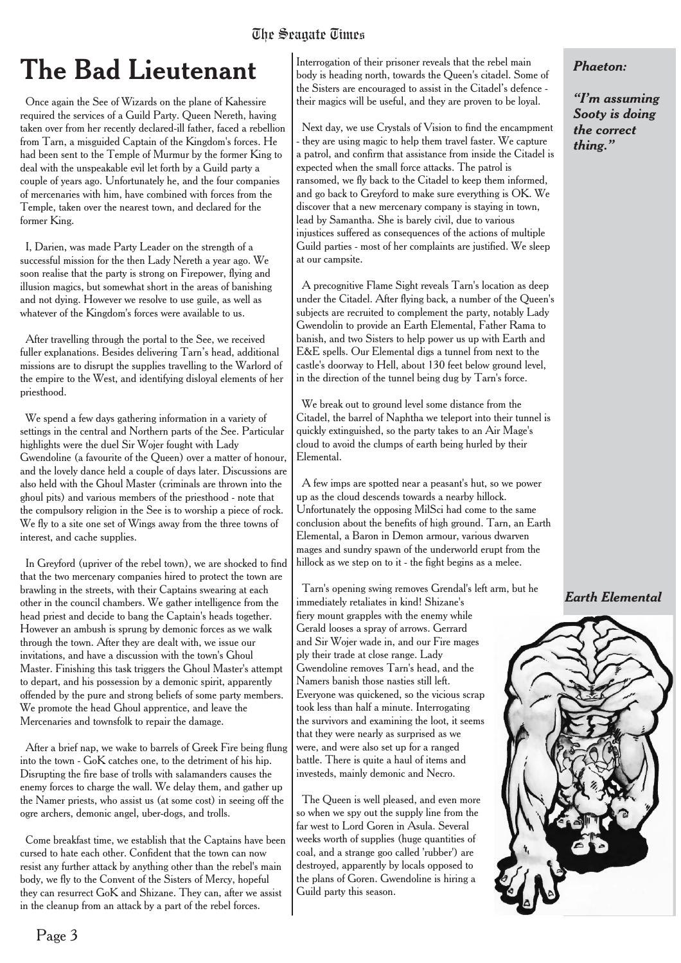# **The Bad Lieutenant**

Once again the See of Wizards on the plane of Kahessire required the services of a Guild Party. Queen Nereth, having taken over from her recently declared-ill father, faced a rebellion from Tarn, a misguided Captain of the Kingdom's forces. He had been sent to the Temple of Murmur by the former King to deal with the unspeakable evil let forth by a Guild party a couple of years ago. Unfortunately he, and the four companies of mercenaries with him, have combined with forces from the Temple, taken over the nearest town, and declared for the former King.

I, Darien, was made Party Leader on the strength of a successful mission for the then Lady Nereth a year ago. We soon realise that the party is strong on Firepower, flying and illusion magics, but somewhat short in the areas of banishing and not dying. However we resolve to use guile, as well as whatever of the Kingdom's forces were available to us.

After travelling through the portal to the See, we received fuller explanations. Besides delivering Tarn's head, additional missions are to disrupt the supplies travelling to the Warlord of the empire to the West, and identifying disloyal elements of her priesthood.

We spend a few days gathering information in a variety of settings in the central and Northern parts of the See. Particular highlights were the duel Sir Wojer fought with Lady Gwendoline (a favourite of the Queen) over a matter of honour, and the lovely dance held a couple of days later. Discussions are also held with the Ghoul Master (criminals are thrown into the ghoul pits) and various members of the priesthood - note that the compulsory religion in the See is to worship a piece of rock. We fly to a site one set of Wings away from the three towns of interest, and cache supplies.

In Greyford (upriver of the rebel town), we are shocked to find that the two mercenary companies hired to protect the town are brawling in the streets, with their Captains swearing at each other in the council chambers. We gather intelligence from the head priest and decide to bang the Captain's heads together. However an ambush is sprung by demonic forces as we walk through the town. After they are dealt with, we issue our invitations, and have a discussion with the town's Ghoul Master. Finishing this task triggers the Ghoul Master's attempt to depart, and his possession by a demonic spirit, apparently offended by the pure and strong beliefs of some party members. We promote the head Ghoul apprentice, and leave the Mercenaries and townsfolk to repair the damage.

After a brief nap, we wake to barrels of Greek Fire being flung into the town - GoK catches one, to the detriment of his hip. Disrupting the fire base of trolls with salamanders causes the enemy forces to charge the wall. We delay them, and gather up the Namer priests, who assist us (at some cost) in seeing off the ogre archers, demonic angel, uber-dogs, and trolls.

Come breakfast time, we establish that the Captains have been cursed to hate each other. Confident that the town can now resist any further attack by anything other than the rebel's main body, we fly to the Convent of the Sisters of Mercy, hopeful they can resurrect GoK and Shizane. They can, after we assist in the cleanup from an attack by a part of the rebel forces.

Interrogation of their prisoner reveals that the rebel main body is heading north, towards the Queen's citadel. Some of the Sisters are encouraged to assist in the Citadel's defence their magics will be useful, and they are proven to be loyal.

Next day, we use Crystals of Vision to find the encampment - they are using magic to help them travel faster. We capture a patrol, and confirm that assistance from inside the Citadel is expected when the small force attacks. The patrol is ransomed, we fly back to the Citadel to keep them informed, and go back to Greyford to make sure everything is OK. We discover that a new mercenary company is staying in town, lead by Samantha. She is barely civil, due to various injustices suffered as consequences of the actions of multiple Guild parties - most of her complaints are justified. We sleep at our campsite.

A precognitive Flame Sight reveals Tarn's location as deep under the Citadel. After flying back, a number of the Queen's subjects are recruited to complement the party, notably Lady Gwendolin to provide an Earth Elemental, Father Rama to banish, and two Sisters to help power us up with Earth and E&E spells. Our Elemental digs a tunnel from next to the castle's doorway to Hell, about 130 feet below ground level, in the direction of the tunnel being dug by Tarn's force.

We break out to ground level some distance from the Citadel, the barrel of Naphtha we teleport into their tunnel is quickly extinguished, so the party takes to an Air Mage's cloud to avoid the clumps of earth being hurled by their Elemental.

A few imps are spotted near a peasant's hut, so we power up as the cloud descends towards a nearby hillock. Unfortunately the opposing MilSci had come to the same conclusion about the benefits of high ground. Tarn, an Earth Elemental, a Baron in Demon armour, various dwarven mages and sundry spawn of the underworld erupt from the hillock as we step on to it - the fight begins as a melee.

Tarn's opening swing removes Grendal's left arm, but he immediately retaliates in kind! Shizane's fiery mount grapples with the enemy while Gerald looses a spray of arrows. Gerrard and Sir Wojer wade in, and our Fire mages ply their trade at close range. Lady Gwendoline removes Tarn's head, and the Namers banish those nasties still left. Everyone was quickened, so the vicious scrap took less than half a minute. Interrogating the survivors and examining the loot, it seems that they were nearly as surprised as we were, and were also set up for a ranged battle. There is quite a haul of items and investeds, mainly demonic and Necro.

The Queen is well pleased, and even more so when we spy out the supply line from the far west to Lord Goren in Asula. Several weeks worth of supplies (huge quantities of coal, and a strange goo called 'rubber') are destroyed, apparently by locals opposed to the plans of Goren. Gwendoline is hiring a Guild party this season.

*Phaeton:*

*"I'm assuming Sooty is doing the correct thing."*

*Earth Elemental*

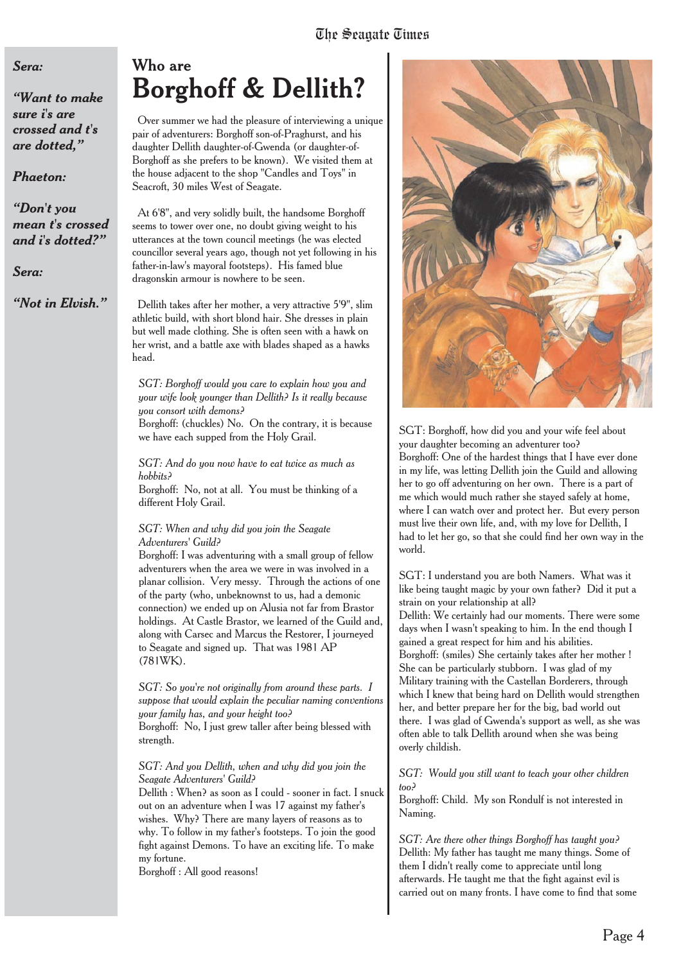#### *Sera:*

*"Want to make sure i's are crossed and t's are dotted,"*

#### *Phaeton:*

*"Don't you mean t's crossed and i's dotted?"*

#### *Sera:*

*"Not in Elvish."*

# Who are **Borghoff & Dellith?**

Over summer we had the pleasure of interviewing a unique pair of adventurers: Borghoff son-of-Praghurst, and his daughter Dellith daughter-of-Gwenda (or daughter-of-Borghoff as she prefers to be known). We visited them at the house adjacent to the shop "Candles and Toys" in Seacroft, 30 miles West of Seagate.

At 6'8", and very solidly built, the handsome Borghoff seems to tower over one, no doubt giving weight to his utterances at the town council meetings (he was elected councillor several years ago, though not yet following in his father-in-law's mayoral footsteps). His famed blue dragonskin armour is nowhere to be seen.

Dellith takes after her mother, a very attractive 5'9", slim athletic build, with short blond hair. She dresses in plain but well made clothing. She is often seen with a hawk on her wrist, and a battle axe with blades shaped as a hawks head.

*SGT: Borghoff would you care to explain how you and your wife look younger than Dellith? Is it really because you consort with demons?*

Borghoff: (chuckles) No. On the contrary, it is because we have each supped from the Holy Grail.

*SGT: And do you now have to eat twice as much as hobbits?*

Borghoff: No, not at all. You must be thinking of a different Holy Grail.

#### *SGT: When and why did you join the Seagate Adventurers' Guild?*

Borghoff: I was adventuring with a small group of fellow adventurers when the area we were in was involved in a planar collision. Very messy. Through the actions of one of the party (who, unbeknownst to us, had a demonic connection) we ended up on Alusia not far from Brastor holdings. At Castle Brastor, we learned of the Guild and, along with Carsec and Marcus the Restorer, I journeyed to Seagate and signed up. That was 1981 AP (781WK).

*SGT: So you're not originally from around these parts. I suppose that would explain the peculiar naming conventions your family has, and your height too?*

Borghoff: No, I just grew taller after being blessed with strength.

#### *SGT: And you Dellith, when and why did you join the Seagate Adventurers' Guild?*

Dellith : When? as soon as I could - sooner in fact. I snuck out on an adventure when I was 17 against my father's wishes. Why? There are many layers of reasons as to why. To follow in my father's footsteps. To join the good fight against Demons. To have an exciting life. To make my fortune.

Borghoff : All good reasons!



SGT: Borghoff, how did you and your wife feel about your daughter becoming an adventurer too? Borghoff: One of the hardest things that I have ever done in my life, was letting Dellith join the Guild and allowing her to go off adventuring on her own. There is a part of me which would much rather she stayed safely at home, where I can watch over and protect her. But every person must live their own life, and, with my love for Dellith, I had to let her go, so that she could find her own way in the world.

SGT: I understand you are both Namers. What was it like being taught magic by your own father? Did it put a strain on your relationship at all? Dellith: We certainly had our moments. There were some days when I wasn't speaking to him. In the end though I gained a great respect for him and his abilities. Borghoff: (smiles) She certainly takes after her mother ! She can be particularly stubborn. I was glad of my Military training with the Castellan Borderers, through which I knew that being hard on Dellith would strengthen her, and better prepare her for the big, bad world out there. I was glad of Gwenda's support as well, as she was often able to talk Dellith around when she was being overly childish.

*SGT: Would you still want to teach your other children too?*

Borghoff: Child. My son Rondulf is not interested in Naming.

*SGT: Are there other things Borghoff has taught you?* Dellith: My father has taught me many things. Some of them I didn't really come to appreciate until long afterwards. He taught me that the fight against evil is carried out on many fronts. I have come to find that some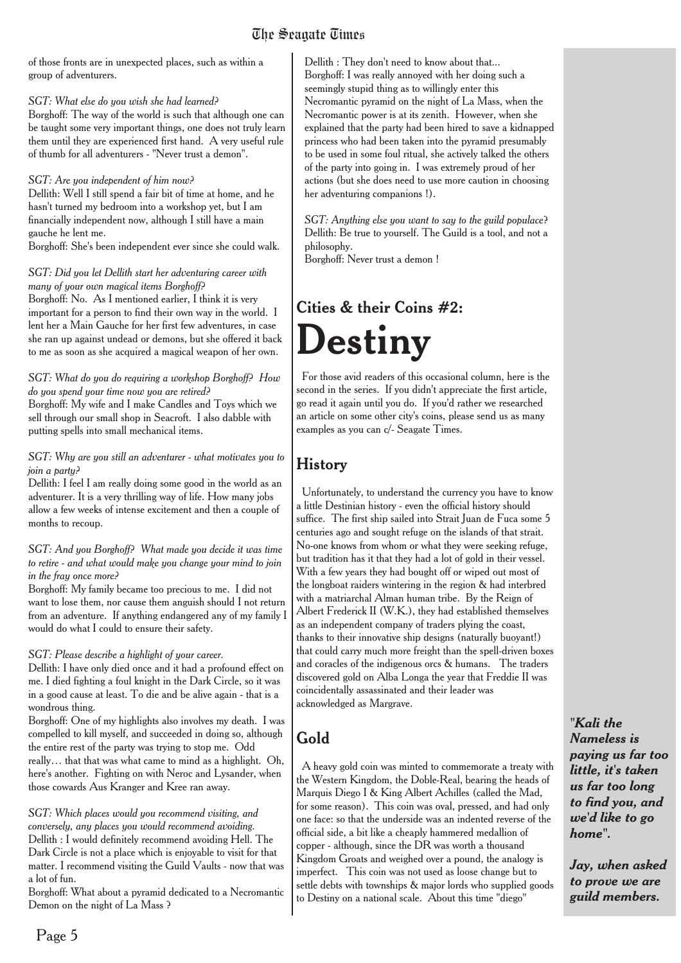of those fronts are in unexpected places, such as within a group of adventurers.

#### *SGT: What else do you wish she had learned?*

Borghoff: The way of the world is such that although one can be taught some very important things, one does not truly learn them until they are experienced first hand. A very useful rule of thumb for all adventurers - "Never trust a demon".

#### *SGT: Are you independent of him now?*

Dellith: Well I still spend a fair bit of time at home, and he hasn't turned my bedroom into a workshop yet, but I am financially independent now, although I still have a main gauche he lent me.

Borghoff: She's been independent ever since she could walk.

#### *SGT: Did you let Dellith start her adventuring career with many of your own magical items Borghoff?*

Borghoff: No. As I mentioned earlier, I think it is very important for a person to find their own way in the world. I lent her a Main Gauche for her first few adventures, in case she ran up against undead or demons, but she offered it back to me as soon as she acquired a magical weapon of her own.

#### *SGT: What do you do requiring a workshop Borghoff? How do you spend your time now you are retired?*

Borghoff: My wife and I make Candles and Toys which we sell through our small shop in Seacroft. I also dabble with putting spells into small mechanical items.

#### *SGT: Why are you still an adventurer - what motivates you to join a party?*

Dellith: I feel I am really doing some good in the world as an adventurer. It is a very thrilling way of life. How many jobs allow a few weeks of intense excitement and then a couple of months to recoup.

#### *SGT: And you Borghoff? What made you decide it was time to retire - and what would make you change your mind to join in the fray once more?*

Borghoff: My family became too precious to me. I did not want to lose them, nor cause them anguish should I not return from an adventure. If anything endangered any of my family I would do what I could to ensure their safety.

#### *SGT: Please describe a highlight of your career.*

Dellith: I have only died once and it had a profound effect on me. I died fighting a foul knight in the Dark Circle, so it was in a good cause at least. To die and be alive again - that is a wondrous thing.

Borghoff: One of my highlights also involves my death. I was compelled to kill myself, and succeeded in doing so, although the entire rest of the party was trying to stop me. Odd really… that that was what came to mind as a highlight. Oh, here's another. Fighting on with Neroc and Lysander, when those cowards Aus Kranger and Kree ran away.

#### *SGT: Which places would you recommend visiting, and conversely, any places you would recommend avoiding.* Dellith : I would definitely recommend avoiding Hell. The Dark Circle is not a place which is enjoyable to visit for that matter. I recommend visiting the Guild Vaults - now that was a lot of fun.

Borghoff: What about a pyramid dedicated to a Necromantic Demon on the night of La Mass ?

Dellith : They don't need to know about that... Borghoff: I was really annoyed with her doing such a seemingly stupid thing as to willingly enter this Necromantic pyramid on the night of La Mass, when the Necromantic power is at its zenith. However, when she explained that the party had been hired to save a kidnapped princess who had been taken into the pyramid presumably to be used in some foul ritual, she actively talked the others of the party into going in. I was extremely proud of her actions (but she does need to use more caution in choosing her adventuring companions !).

*SGT: Anything else you want to say to the guild populace*? Dellith: Be true to yourself. The Guild is a tool, and not a philosophy.

Borghoff: Never trust a demon !

# Cities & their Coins #2: **Destiny**

For those avid readers of this occasional column, here is the second in the series. If you didn't appreciate the first article, go read it again until you do. If you'd rather we researched an article on some other city's coins, please send us as many examples as you can c/- Seagate Times.

# History

Unfortunately, to understand the currency you have to know a little Destinian history - even the official history should suffice. The first ship sailed into Strait Juan de Fuca some 5 centuries ago and sought refuge on the islands of that strait. No-one knows from whom or what they were seeking refuge, but tradition has it that they had a lot of gold in their vessel. With a few years they had bought off or wiped out most of the longboat raiders wintering in the region & had interbred with a matriarchal Alman human tribe. By the Reign of Albert Frederick II (W.K.), they had established themselves as an independent company of traders plying the coast, thanks to their innovative ship designs (naturally buoyant!) that could carry much more freight than the spell-driven boxes and coracles of the indigenous orcs & humans. The traders discovered gold on Alba Longa the year that Freddie II was coincidentally assassinated and their leader was acknowledged as Margrave.

# Gold

A heavy gold coin was minted to commemorate a treaty with the Western Kingdom, the Doble-Real, bearing the heads of Marquis Diego I & King Albert Achilles (called the Mad, for some reason). This coin was oval, pressed, and had only one face: so that the underside was an indented reverse of the official side, a bit like a cheaply hammered medallion of copper - although, since the DR was worth a thousand Kingdom Groats and weighed over a pound, the analogy is imperfect. This coin was not used as loose change but to settle debts with townships & major lords who supplied goods to Destiny on a national scale. About this time "diego"

*"Kali the Nameless is paying us far too little, it's taken us far too long to find you, and we'd like to go home".*

*Jay, when asked to prove we are guild members.*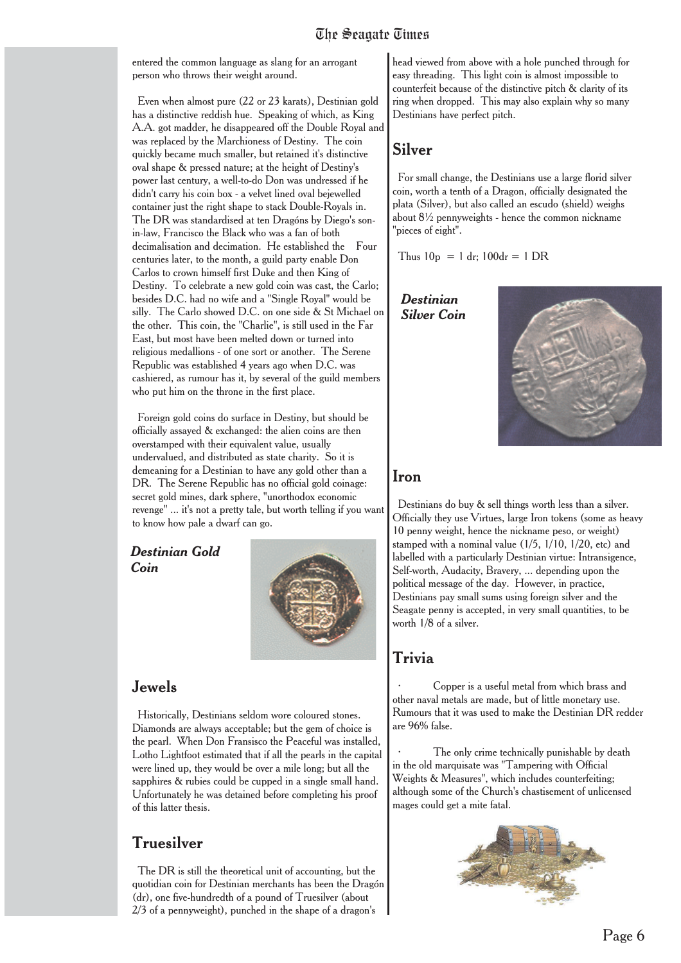entered the common language as slang for an arrogant person who throws their weight around.

Even when almost pure (22 or 23 karats), Destinian gold has a distinctive reddish hue. Speaking of which, as King A.A. got madder, he disappeared off the Double Royal and was replaced by the Marchioness of Destiny. The coin quickly became much smaller, but retained it's distinctive oval shape & pressed nature; at the height of Destiny's power last century, a well-to-do Don was undressed if he didn't carry his coin box - a velvet lined oval bejewelled container just the right shape to stack Double-Royals in. The DR was standardised at ten Dragóns by Diego's sonin-law, Francisco the Black who was a fan of both decimalisation and decimation. He established the Four centuries later, to the month, a guild party enable Don Carlos to crown himself first Duke and then King of Destiny. To celebrate a new gold coin was cast, the Carlo; besides D.C. had no wife and a "Single Royal" would be silly. The Carlo showed D.C. on one side & St Michael on the other. This coin, the "Charlie", is still used in the Far East, but most have been melted down or turned into religious medallions - of one sort or another. The Serene Republic was established 4 years ago when D.C. was cashiered, as rumour has it, by several of the guild members who put him on the throne in the first place.

Foreign gold coins do surface in Destiny, but should be officially assayed & exchanged: the alien coins are then overstamped with their equivalent value, usually undervalued, and distributed as state charity. So it is demeaning for a Destinian to have any gold other than a DR. The Serene Republic has no official gold coinage: secret gold mines, dark sphere, "unorthodox economic revenge" ... it's not a pretty tale, but worth telling if you want to know how pale a dwarf can go.

*Destinian Gold Coin*



#### Jewels

Historically, Destinians seldom wore coloured stones. Diamonds are always acceptable; but the gem of choice is the pearl. When Don Fransisco the Peaceful was installed, Lotho Lightfoot estimated that if all the pearls in the capital were lined up, they would be over a mile long; but all the sapphires & rubies could be cupped in a single small hand. Unfortunately he was detained before completing his proof of this latter thesis.

## Truesilver

The DR is still the theoretical unit of accounting, but the quotidian coin for Destinian merchants has been the Dragón (dr), one five-hundredth of a pound of Truesilver (about 2/3 of a pennyweight), punched in the shape of a dragon's

head viewed from above with a hole punched through for easy threading. This light coin is almost impossible to counterfeit because of the distinctive pitch & clarity of its ring when dropped. This may also explain why so many Destinians have perfect pitch.

### Silver

For small change, the Destinians use a large florid silver coin, worth a tenth of a Dragon, officially designated the plata (Silver), but also called an escudo (shield) weighs about 8½ pennyweights - hence the common nickname "pieces of eight".

Thus  $10p = 1 dr$ ;  $100dr = 1 DR$ 

*Destinian Silver Coin*



#### Iron

Destinians do buy & sell things worth less than a silver. Officially they use Virtues, large Iron tokens (some as heavy 10 penny weight, hence the nickname peso, or weight) stamped with a nominal value (1/5, 1/10, 1/20, etc) and labelled with a particularly Destinian virtue: Intransigence, Self-worth, Audacity, Bravery, ... depending upon the political message of the day. However, in practice, Destinians pay small sums using foreign silver and the Seagate penny is accepted, in very small quantities, to be worth 1/8 of a silver.

# Trivia

· Copper is a useful metal from which brass and other naval metals are made, but of little monetary use. Rumours that it was used to make the Destinian DR redder are 96% false.

The only crime technically punishable by death in the old marquisate was "Tampering with Official Weights & Measures", which includes counterfeiting; although some of the Church's chastisement of unlicensed mages could get a mite fatal.

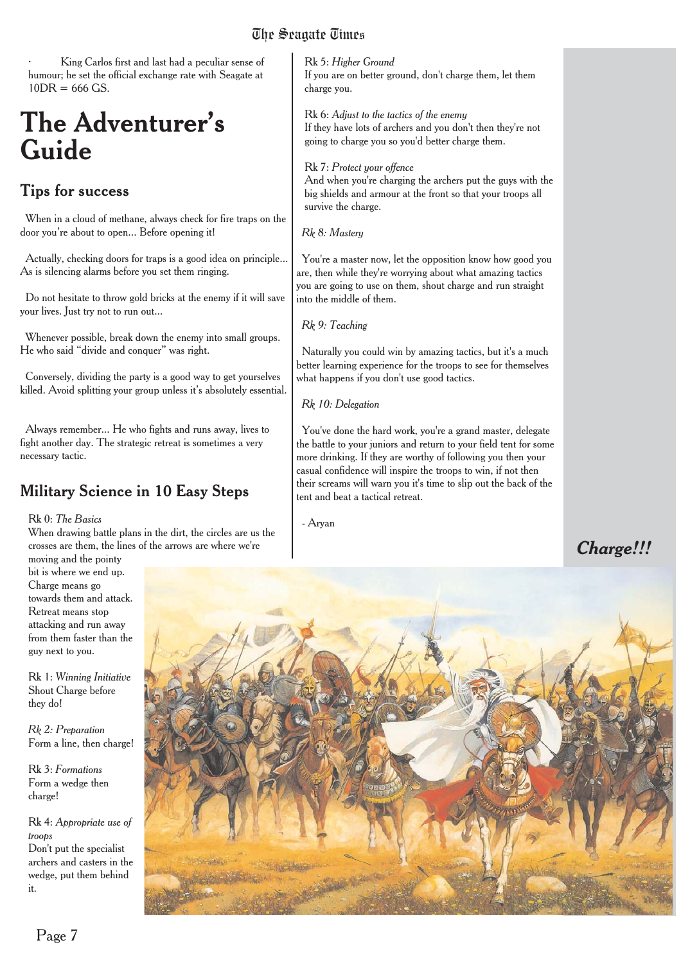King Carlos first and last had a peculiar sense of humour; he set the official exchange rate with Seagate at  $10DR = 666 GS$ .

# **The Adventurer's Guide**

# **Tips for success**

When in a cloud of methane, always check for fire traps on the door you're about to open... Before opening it!

Actually, checking doors for traps is a good idea on principle... As is silencing alarms before you set them ringing.

Do not hesitate to throw gold bricks at the enemy if it will save your lives. Just try not to run out...

Whenever possible, break down the enemy into small groups. He who said "divide and conquer" was right.

Conversely, dividing the party is a good way to get yourselves killed. Avoid splitting your group unless it's absolutely essential.

Always remember... He who fights and runs away, lives to fight another day. The strategic retreat is sometimes a very necessary tactic.

# Military Science in 10 Easy Steps

#### Rk 0: *The Basics*

When drawing battle plans in the dirt, the circles are us the crosses are them, the lines of the arrows are where we're

moving and the pointy bit is where we end up. Charge means go towards them and attack. Retreat means stop attacking and run away from them faster than the guy next to you.

Rk 1: *Winning Initiative* Shout Charge before they do!

*Rk 2: Preparation* Form a line, then charge!

Rk 3: *Formations* Form a wedge then charge!

Rk 4: *Appropriate use of troops* Don't put the specialist archers and casters in the wedge, put them behind it.

Rk 5: *Higher Ground* If you are on better ground, don't charge them, let them charge you.

Rk 6: *Adjust to the tactics of the enemy* If they have lots of archers and you don't then they're not going to charge you so you'd better charge them.

#### Rk 7: *Protect your offence*

And when you're charging the archers put the guys with the big shields and armour at the front so that your troops all survive the charge.

*Rk 8: Mastery*

You're a master now, let the opposition know how good you are, then while they're worrying about what amazing tactics you are going to use on them, shout charge and run straight into the middle of them.

*Rk 9: Teaching*

Naturally you could win by amazing tactics, but it's a much better learning experience for the troops to see for themselves what happens if you don't use good tactics.

*Rk 10: Delegation*

You've done the hard work, you're a grand master, delegate the battle to your juniors and return to your field tent for some more drinking. If they are worthy of following you then your casual confidence will inspire the troops to win, if not then their screams will warn you it's time to slip out the back of the tent and beat a tactical retreat.

- Aryan

# *Charge!!!*

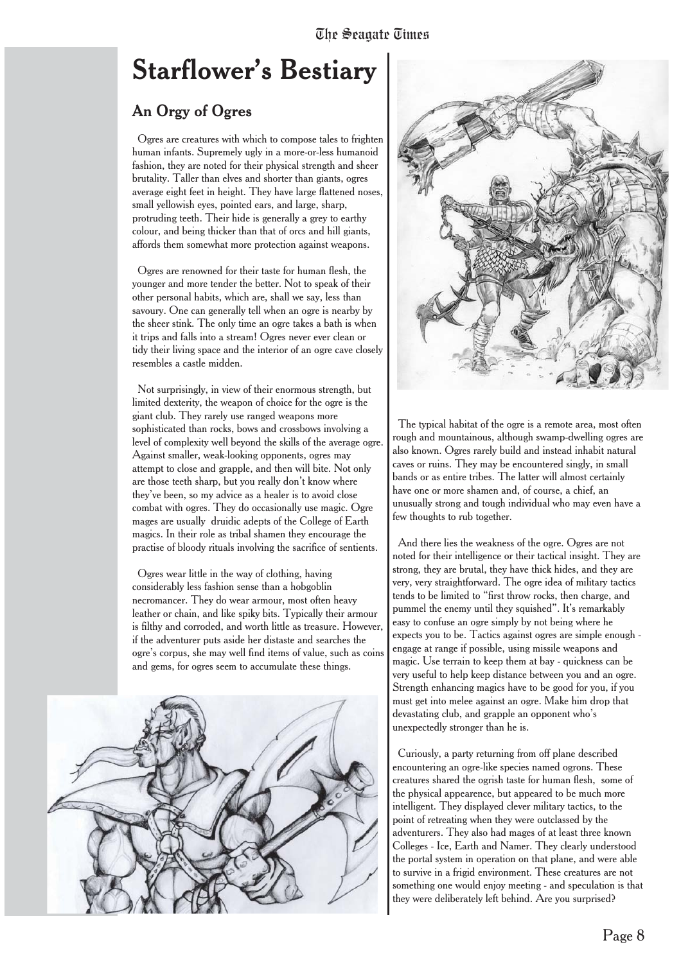# **Starflower's Bestiary**

# An Orgy of Ogres

Ogres are creatures with which to compose tales to frighten human infants. Supremely ugly in a more-or-less humanoid fashion, they are noted for their physical strength and sheer brutality. Taller than elves and shorter than giants, ogres average eight feet in height. They have large flattened noses, small yellowish eyes, pointed ears, and large, sharp, protruding teeth. Their hide is generally a grey to earthy colour, and being thicker than that of orcs and hill giants, affords them somewhat more protection against weapons.

Ogres are renowned for their taste for human flesh, the younger and more tender the better. Not to speak of their other personal habits, which are, shall we say, less than savoury. One can generally tell when an ogre is nearby by the sheer stink. The only time an ogre takes a bath is when it trips and falls into a stream! Ogres never ever clean or tidy their living space and the interior of an ogre cave closely resembles a castle midden.

Not surprisingly, in view of their enormous strength, but limited dexterity, the weapon of choice for the ogre is the giant club. They rarely use ranged weapons more sophisticated than rocks, bows and crossbows involving a level of complexity well beyond the skills of the average ogre. Against smaller, weak-looking opponents, ogres may attempt to close and grapple, and then will bite. Not only are those teeth sharp, but you really don't know where they've been, so my advice as a healer is to avoid close combat with ogres. They do occasionally use magic. Ogre mages are usually druidic adepts of the College of Earth magics. In their role as tribal shamen they encourage the practise of bloody rituals involving the sacrifice of sentients.

Ogres wear little in the way of clothing, having considerably less fashion sense than a hobgoblin necromancer. They do wear armour, most often heavy leather or chain, and like spiky bits. Typically their armour is filthy and corroded, and worth little as treasure. However, if the adventurer puts aside her distaste and searches the ogre's corpus, she may well find items of value, such as coins and gems, for ogres seem to accumulate these things.





The typical habitat of the ogre is a remote area, most often rough and mountainous, although swamp-dwelling ogres are also known. Ogres rarely build and instead inhabit natural caves or ruins. They may be encountered singly, in small bands or as entire tribes. The latter will almost certainly have one or more shamen and, of course, a chief, an unusually strong and tough individual who may even have a few thoughts to rub together.

And there lies the weakness of the ogre. Ogres are not noted for their intelligence or their tactical insight. They are strong, they are brutal, they have thick hides, and they are very, very straightforward. The ogre idea of military tactics tends to be limited to "first throw rocks, then charge, and pummel the enemy until they squished". It's remarkably easy to confuse an ogre simply by not being where he expects you to be. Tactics against ogres are simple enough engage at range if possible, using missile weapons and magic. Use terrain to keep them at bay - quickness can be very useful to help keep distance between you and an ogre. Strength enhancing magics have to be good for you, if you must get into melee against an ogre. Make him drop that devastating club, and grapple an opponent who's unexpectedly stronger than he is.

Curiously, a party returning from off plane described encountering an ogre-like species named ogrons. These creatures shared the ogrish taste for human flesh, some of the physical appearence, but appeared to be much more intelligent. They displayed clever military tactics, to the point of retreating when they were outclassed by the adventurers. They also had mages of at least three known Colleges - Ice, Earth and Namer. They clearly understood the portal system in operation on that plane, and were able to survive in a frigid environment. These creatures are not something one would enjoy meeting - and speculation is that they were deliberately left behind. Are you surprised?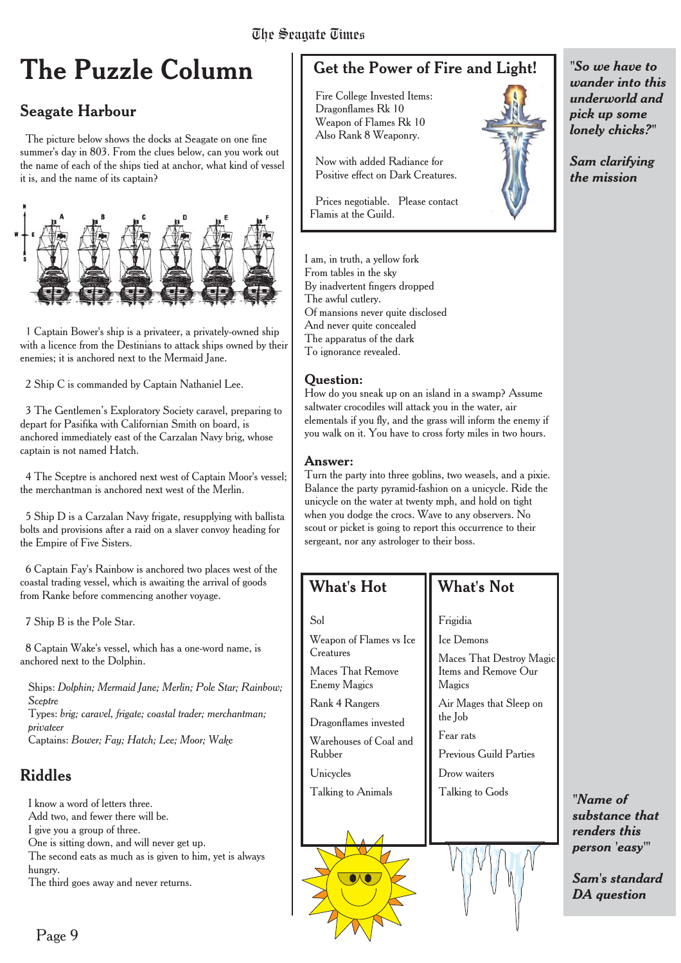# **The Puzzle Column**

# Seagate Harbour

The picture below shows the docks at Seagate on one fine summer's day in 803. From the clues below, can you work out the name of each of the ships tied at anchor, what kind of vessel it is, and the name of its captain?



1 Captain Bower's ship is a privateer, a privately-owned ship with a licence from the Destinians to attack ships owned by their enemies; it is anchored next to the Mermaid Jane.

2 Ship C is commanded by Captain Nathaniel Lee.

3 The Gentlemen's Exploratory Society caravel, preparing to depart for Pasifika with Californian Smith on board, is anchored immediately east of the Carzalan Navy brig, whose captain is not named Hatch.

4 The Sceptre is anchored next west of Captain Moor's vessel; the merchantman is anchored next west of the Merlin.

5 Ship D is a Carzalan Navy frigate, resupplying with ballista bolts and provisions after a raid on a slaver convoy heading for the Empire of Five Sisters.

6 Captain Fay's Rainbow is anchored two places west of the coastal trading vessel, which is awaiting the arrival of goods from Ranke before commencing another voyage.

7 Ship B is the Pole Star.

8 Captain Wake's vessel, which has a one-word name, is anchored next to the Dolphin.

Ships: *Dolphin; Mermaid Jane; Merlin; Pole Star; Rainbow; Sceptre*

Types: *brig; caravel, frigate; coastal trader; merchantman; privateer*

Captains: *Bower; Fay; Hatch; Lee; Moor; Wake*

# Riddles

I know a word of letters three. Add two, and fewer there will be. I give you a group of three. One is sitting down, and will never get up.

The second eats as much as is given to him, yet is always hungry.

The third goes away and never returns.

# Get the Power of Fire and Light!

Fire College Invested Items: Dragonflames Rk 10 Weapon of Flames Rk 10 Also Rank 8 Weaponry.

Now with added Radiance for Positive effect on Dark Creatures.

Prices negotiable. Please contact Flamis at the Guild.

I am, in truth, a yellow fork From tables in the sky By inadvertent fingers dropped The awful cutlery. Of mansions never quite disclosed And never quite concealed The apparatus of the dark To ignorance revealed.

#### **Question:**

How do you sneak up on an island in a swamp? Assume saltwater crocodiles will attack you in the water, air elementals if you fly, and the grass will inform the enemy if you walk on it. You have to cross forty miles in two hours.

#### **Answer:**

Turn the party into three goblins, two weasels, and a pixie. Balance the party pyramid-fashion on a unicycle. Ride the unicycle on the water at twenty mph, and hold on tight when you dodge the crocs. Wave to any observers. No scout or picket is going to report this occurrence to their sergeant, nor any astrologer to their boss.

# What's Hot

Weapon of Flames vs Ice

Maces That Remove Enemy Magics Rank 4 Rangers Dragonflames invested Warehouses of Coal and

Talking to Animals

Sol

**Creatures** 

Rubber Unicycles

# What's Not

Frigidia

Ice Demons

Maces That Destroy Magic Items and Remove Our Magics

Air Mages that Sleep on the Job

Fear rats

Previous Guild Parties

Drow waiters

Talking to Gods



*"So we have to wander into this underworld and pick up some lonely chicks?"*

*Sam clarifying the mission*

*"Name of substance that renders this person 'easy'"*

*Sam's standard DA question*